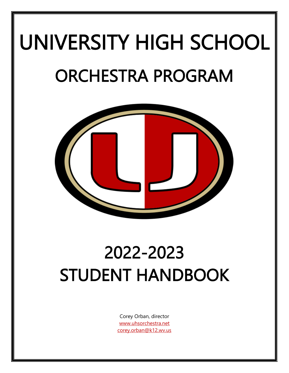# UNIVERSITY HIGH SCHOOL ORCHESTRA PROGRAM



## 2022-2023 STUDENT HANDBOOK

Corey Orban, director [www.uhsorchestra.net](http://www.uhsorchestra.net/) [corey.orban@k12.wv.us](mailto:corey.orban@k12.wv.us)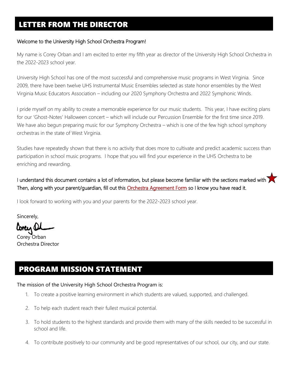#### Welcome to the University High School Orchestra Program!

My name is Corey Orban and I am excited to enter my fifth year as director of the University High School Orchestra in the 2022-2023 school year.

University High School has one of the most successful and comprehensive music programs in West Virginia. Since 2009, there have been twelve UHS Instrumental Music Ensembles selected as state honor ensembles by the West Virginia Music Educators Association – including our 2020 Symphony Orchestra and 2022 Symphonic Winds.

I pride myself on my ability to create a memorable experience for our music students. This year, I have exciting plans for our 'Ghost-Notes' Halloween concert – which will include our Percussion Ensemble for the first time since 2019. We have also begun preparing music for our Symphony Orchestra – which is one of the few high school symphony orchestras in the state of West Virginia.

Studies have repeatedly shown that there is no activity that does more to cultivate and predict academic success than participation in school music programs. I hope that you will find your experience in the UHS Orchestra to be enriching and rewarding.

I understand this document contains a lot of information, but please become familiar with the sections marked with Then, along with your parent/guardian, fill out this **Orchestra Agreement Form** so I know you have read it.

I look forward to working with you and your parents for the 2022-2023 school year.

Sincerely,

loneis

Corey Orban Orchestra Director

## PROGRAM MISSION STATEMENT

#### The mission of the University High School Orchestra Program is:

- 1. To create a positive learning environment in which students are valued, supported, and challenged.
- 2. To help each student reach their fullest musical potential.
- 3. To hold students to the highest standards and provide them with many of the skills needed to be successful in school and life.
- 4. To contribute positively to our community and be good representatives of our school, our city, and our state.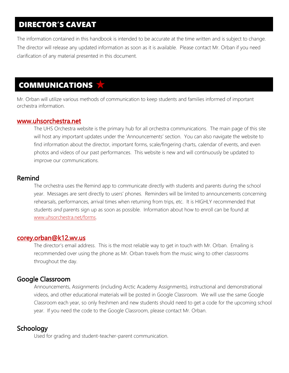## DIRECTOR'S CAVEAT

The information contained in this handbook is intended to be accurate at the time written and is subject to change. The director will release any updated information as soon as it is available. Please contact Mr. Orban if you need clarification of any material presented in this document.

#### I COMMUNICATIONS Ξ

Mr. Orban will utilize various methods of communication to keep students and families informed of important orchestra information.

#### [www.uhsorchestra.net](http://www.uhsorchestra.net/)

The UHS Orchestra website is the primary hub for all orchestra communications. The main page of this site will host any important updates under the 'Announcements' section. You can also navigate the website to find information about the director, important forms, scale/fingering charts, calendar of events, and even photos and videos of our past performances. This website is new and will continuously be updated to improve our communications.

#### Remind

The orchestra uses the Remind app to communicate directly with students and parents during the school year. Messages are sent directly to users' phones. Reminders will be limited to announcements concerning rehearsals, performances, arrival times when returning from trips, etc. It is HIGHLY recommended that students *and* parents sign up as soon as possible. Information about how to enroll can be found at [www.uhsorchestra.net/forms.](http://www.uhsorchestra.net/forms)

#### [corey.orban@k12.wv.us](mailto:corey.orban@k12.wv.us)

The director's email address. This is the most reliable way to get in touch with Mr. Orban. Emailing is recommended over using the phone as Mr. Orban travels from the music wing to other classrooms throughout the day.

#### Google Classroom

Announcements, Assignments (including Arctic Academy Assignments), instructional and demonstrational videos, and other educational materials will be posted in Google Classroom. We will use the same Google Classroom each year, so only freshmen and new students should need to get a code for the upcoming school year. If you need the code to the Google Classroom, please contact Mr. Orban.

#### **Schoology**

Used for grading and student-teacher-parent communication.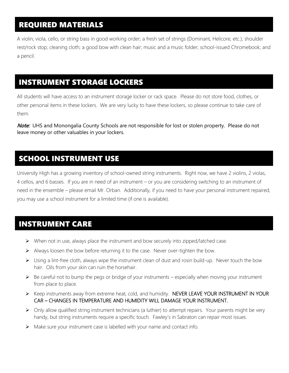## REQUIRED MATERIALS

A violin, viola, cello, or string bass in good working order; a fresh set of strings (Dominant, Helicore, etc.); shoulder rest/rock stop; cleaning cloth; a good bow with clean hair; music and a music folder; school-issued Chromebook; and a pencil.

### INSTRUMENT STORAGE LOCKERS

All students will have access to an instrument storage locker or rack space. Please do not store food, clothes, or other personal items in these lockers. We are very lucky to have these lockers, so please continue to take care of them.

**Note:** UHS and Monongalia County Schools are not responsible for lost or stolen property. Please do not leave money or other valuables in your lockers.

## SCHOOL INSTRUMENT USE

University High has a growing inventory of school-owned string instruments. Right now, we have 2 violins, 2 violas, 4 cellos, and 6 basses. If you are in need of an instrument – or you are considering switching to an instrument of need in the ensemble – please email Mr. Orban. Additionally, if you need to have your personal instrument repaired, you may use a school instrument for a limited time (if one is available).

## INSTRUMENT CARE

I

 $\overline{a}$ 

- $\triangleright$  When not in use, always place the instrument and bow securely into zipped/latched case.
- $\triangleright$  Always loosen the bow before returning it to the case. Never over-tighten the bow.
- ➢ Using a lint-free cloth, always wipe the instrument clean of dust and rosin build-up. Never touch the bow hair. Oils from your skin can ruin the horsehair.
- $\triangleright$  Be careful not to bump the pegs or bridge of your instruments especially when moving your instrument from place to place.
- ➢ Keep instruments away from extreme heat, cold, and humidity. NEVER LEAVE YOUR INSTRUMENT IN YOUR CAR – CHANGES IN TEMPERATURE AND HUMIDITY WILL DAMAGE YOUR INSTRUMENT.
- $\triangleright$  Only allow qualified string instrument technicians (a luthier) to attempt repairs. Your parents might be very handy, but string instruments require a specific touch. Fawley's in Sabraton can repair most issues.
- $\triangleright$  Make sure your instrument case is labelled with your name and contact info.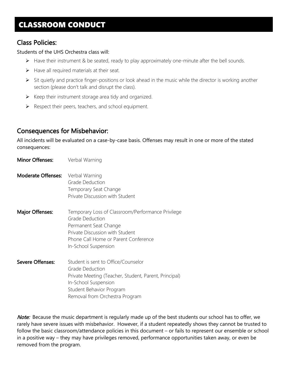## CLASSROOM CONDUCT

#### Class Policies:

#### Students of the UHS Orchestra class will:

- ➢ Have their instrument & be seated, ready to play approximately one-minute after the bell sounds.
- $\triangleright$  Have all required materials at their seat.
- ➢ Sit quietly and practice finger-positions or look ahead in the music while the director is working another section (please don't talk and disrupt the class).
- $\triangleright$  Keep their instrument storage area tidy and organized.
- ➢ Respect their peers, teachers, and school equipment.

#### Consequences for Misbehavior:

All incidents will be evaluated on a case-by-case basis. Offenses may result in one or more of the stated consequences:

- **Minor Offenses:** Verbal Warning
- Moderate Offenses: Verbal Warning Grade Deduction Temporary Seat Change Private Discussion with Student
- **Major Offenses:** Temporary Loss of Classroom/Performance Privilege Grade Deduction Permanent Seat Change Private Discussion with Student Phone Call Home or Parent Conference In-School Suspension
- Severe Offenses: Student is sent to Office/Counselor Grade Deduction Private Meeting (Teacher, Student, Parent, Principal) In-School Suspension Student Behavior Program Removal from Orchestra Program

**Note:** Because the music department is regularly made up of the best students our school has to offer, we rarely have severe issues with misbehavior. However, if a student repeatedly shows they cannot be trusted to follow the basic classroom/attendance policies in this document – or fails to represent our ensemble or school in a positive way – they may have privileges removed, performance opportunities taken away, or even be removed from the program.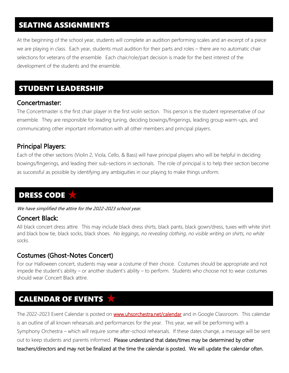## SEATING ASSIGNMENTS

At the beginning of the school year, students will complete an audition performing scales and an excerpt of a piece we are playing in class. Each year, students must audition for their parts and roles – there are no automatic chair selections for veterans of the ensemble. Each chair/role/part decision is made for the best interest of the development of the students and the ensemble.

#### ۰ STUDENT LEADERSHIP

#### Concertmaster:

The Concertmaster is the first chair player in the first violin section. This person is the student representative of our ensemble. They are responsible for leading tuning, deciding bowings/fingerings, leading group warm-ups, and communicating other important information with all other members and principal players.

#### Principal Players:

Each of the other sections (Violin 2, Viola, Cello, & Bass) will have principal players who will be helpful in deciding bowings/fingerings, and leading their sub-sections in sectionals. The role of principal is to help their section become as successful as possible by identifying any ambiguities in our playing to make things uniform.

#### l DRESS CODE

We have simplified the attire for the 2022-2023 school year.

#### Concert Black:

All black concert dress attire. This may include black dress shirts, black pants, black gown/dress, tuxes with white shirt and black bow tie, black socks, black shoes. *No leggings, no revealing clothing, no visible writing on shirts, no white socks.*

#### Costumes (Ghost-Notes Concert)

For our Halloween concert, students may wear a costume of their choice. Costumes should be appropriate and not impede the student's ability – or another student's ability – to perform. Students who choose not to wear costumes should wear Concert Black attire.

## CALENDAR OF EVENTS

The 2022-2023 Event Calendar is posted on **www.uhsorchestra.net/calendar** and in Google Classroom. This calendar is an outline of all known rehearsals and performances for the year. This year, we will be performing with a Symphony Orchestra – which will require some after-school rehearsals. If these dates change, a message will be sent out to keep students and parents informed. Please understand that dates/times may be determined by other teachers/directors and may not be finalized at the time the calendar is posted. We will update the calendar often.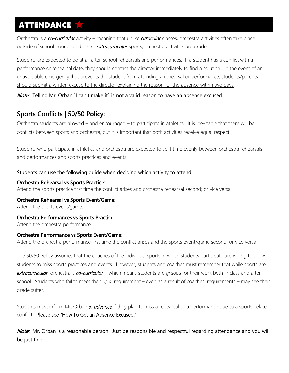## **ATTENDANCE**

Orchestra is a *co-curricular* activity – meaning that unlike *curricular* classes, orchestra activities often take place outside of school hours – and unlike *extracurricular* sports, orchestra activities are graded.

Students are expected to be at all after-school rehearsals and performances. If a student has a conflict with a performance or rehearsal date, they should contact the director immediately to find a solution. In the event of an unavoidable emergency that prevents the student from attending a rehearsal or performance, students/parents should submit a written excuse to the director explaining the reason for the absence within two days.

Note: Telling Mr. Orban "I can't make it" is not a valid reason to have an absence excused.

#### Sports Conflicts | 50/50 Policy:

Orchestra students are allowed – and encouraged – to participate in athletics. It is inevitable that there will be conflicts between sports and orchestra, but it is important that both activities receive equal respect.

Students who participate in athletics and orchestra are expected to split time evenly between orchestra rehearsals and performances and sports practices and events.

#### Students can use the following guide when deciding which activity to attend:

#### Orchestra Rehearsal vs Sports Practice:

Attend the sports practice first time the conflict arises and orchestra rehearsal second; or vice versa.

Orchestra Rehearsal vs Sports Event/Game:

Attend the sports event/game.

#### Orchestra Performances vs Sports Practice:

Attend the orchestra performance.

#### Orchestra Performance vs Sports Event/Game:

Attend the orchestra performance first time the conflict arises and the sports event/game second; or vice versa.

The 50/50 Policy assumes that the coaches of the individual sports in which students participate are willing to allow students to miss sports practices and events. However, students and coaches must remember that while sports are *extracurricular*, orchestra is *co-curricular* – which means students are *graded* for their work both in class and after school. Students who fail to meet the 50/50 requirement – even as a result of coaches' requirements – may see their grade suffer.

Students must inform Mr. Orban *in advance* if they plan to miss a rehearsal or a performance due to a sports-related conflict. Please see "How To Get an Absence Excused."

Note: Mr. Orban is a reasonable person. Just be responsible and respectful regarding attendance and you will be just fine.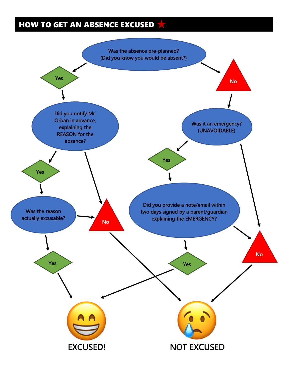## HOW TO GET AN ABSENCE EXCUSED